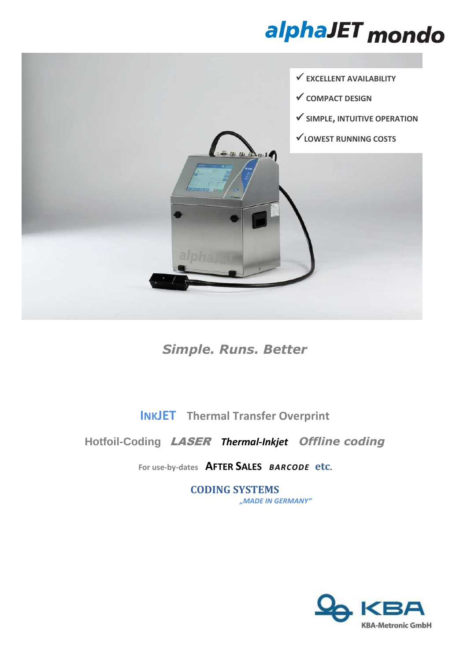## alphaJET mondo



*Simple. Runs. Better* 

**INKJET Thermal Transfer Overprint**

### **Hotfoil-Coding** LASER *Thermal-Inkjet**Offline coding*

**For use-by-dates AFTER SALES** *BARCODE* **etc.** 

**CODING SYSTEMS** *"MADE IN GERMANY"*